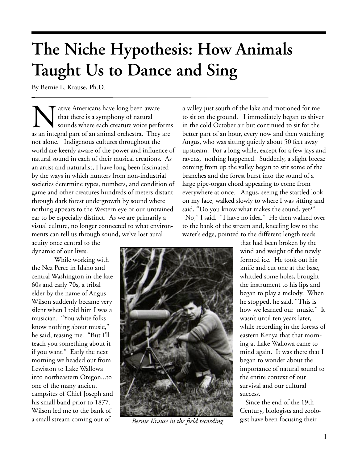## **The Niche Hypothesis: How Animals Taught Us to Dance and Sing**

By Bernie L. Krause, Ph.D.

All a sure Americans have long been aware<br>that there is a symphony of natural<br>sounds where each creature voice perf<br>as an integral part of an animal orchestra. They that there is a symphony of natural sounds where each creature voice performs as an integral part of an animal orchestra. They are not alone. Indigenous cultures throughout the world are keenly aware of the power and influence of natural sound in each of their musical creations. As an artist and naturalist, I have long been fascinated by the ways in which hunters from non-industrial societies determine types, numbers, and condition of game and other creatures hundreds of meters distant through dark forest undergrowth by sound where nothing appears to the Western eye or our untrained ear to be especially distinct. As we are primarily a visual culture, no longer connected to what environments can tell us through sound, we've lost aural

acuity once central to the dynamic of our lives.

 While working with the Nez Perce in Idaho and central Washington in the late 60s and early 70s, a tribal elder by the name of Angus Wilson suddenly became very silent when I told him I was a musician. "You white folks know nothing about music," he said, teasing me. "But I'll teach you something about it if you want." Early the next morning we headed out from Lewiston to Lake Wallowa into northeastern Oregon...to one of the many ancient campsites of Chief Joseph and his small band prior to 1877. Wilson led me to the bank of a small stream coming out of

a valley just south of the lake and motioned for me to sit on the ground. I immediately began to shiver in the cold October air but continued to sit for the better part of an hour, every now and then watching Angus, who was sitting quietly about 50 feet away upstream. For a long while, except for a few jays and ravens, nothing happened. Suddenly, a slight breeze coming from up the valley began to stir some of the branches and the forest burst into the sound of a large pipe-organ chord appearing to come from everywhere at once. Angus, seeing the startled look on my face, walked slowly to where I was sitting and said, "Do you know what makes the sound, yet?" "No," I said. "I have no idea." He then walked over to the bank of the stream and, kneeling low to the water's edge, pointed to the different length reeds



*Bernie Krause in the field recording*

that had been broken by the wind and weight of the newly formed ice. He took out his knife and cut one at the base, whittled some holes, brought the instrument to his lips and began to play a melody. When he stopped, he said, "This is how we learned our music." It wasn't until ten years later, while recording in the forests of eastern Kenya that that morning at Lake Wallowa came to mind again. It was there that I began to wonder about the importance of natural sound to the entire context of our survival and our cultural success.

Since the end of the 19th Century, biologists and zoologist have been focusing their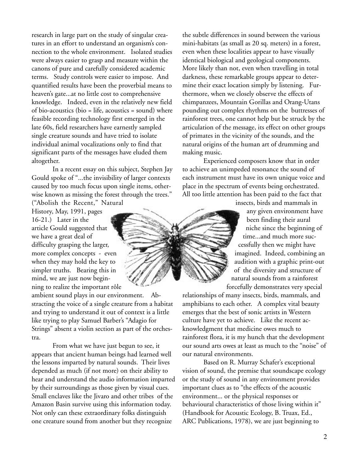research in large part on the study of singular creatures in an effort to understand an organism's connection to the whole environment. Isolated studies were always easier to grasp and measure within the canons of pure and carefully considered academic terms. Study controls were easier to impose. And quantified results have been the proverbial means to heaven's gate...at no little cost to comprehensive knowledge. Indeed, even in the relatively new field of bio-acoustics (bio = life, acoustics = sound) where feasible recording technology first emerged in the late 60s, field researchers have earnestly sampled single creature sounds and have tried to isolate individual animal vocalizations only to find that significant parts of the messages have eluded them altogether.

In a recent essay on this subject, Stephen Jay Gould spoke of "...the invisibility of larger contexts caused by too much focus upon single items, otherwise known as missing the forest through the trees."

("Abolish the Recent," Natural History, May, 1991, pages 16-21.) Later in the article Gould suggested that we have a great deal of difficulty grasping the larger, more complex concepts - even when they may hold the key to simpler truths. Bearing this in mind, we are just now beginning to realize the important rôle

ambient sound plays in our environment. Abstracting the voice of a single creature from a habitat and trying to understand it out of context is a little like trying to play Samuel Barber's "Adagio for Strings" absent a violin section as part of the orchestra.

From what we have just begun to see, it appears that ancient human beings had learned well the lessons imparted by natural sounds. Their lives depended as much (if not more) on their ability to hear and understand the audio information imparted by their surroundings as those given by visual cues. Small enclaves like the Jivaro and other tribes of the Amazon Basin survive using this information today. Not only can these extraordinary folks distinguish one creature sound from another but they recognize

the subtle differences in sound between the various mini-habitats (as small as 20 sq. meters) in a forest, even when these localities appear to have visually identical biological and geological components. More likely than not, even when travelling in total darkness, these remarkable groups appear to determine their exact location simply by listening. Furthermore, when we closely observe the effects of chimpanzees, Mountain Gorillas and Orang-Utans pounding out complex rhythms on the buttresses of rainforest trees, one cannot help but be struck by the articulation of the message, its effect on other groups of primates in the vicinity of the sounds, and the natural origins of the human art of drumming and making music.

Experienced composers know that in order to achieve an unimpeded resonance the sound of each instrument must have its own unique voice and place in the spectrum of events being orchestrated. All too little attention has been paid to the fact that

insects, birds and mammals in

any given environment have been finding their aural niche since the beginning of time...and much more successfully then we might have imagined. Indeed, combining an audition with a graphic print-out of the diversity and structure of natural sounds from a rainforest forcefully demonstrates very special

relationships of many insects, birds, mammals, and amphibians to each other. A complex vital beauty emerges that the best of sonic artists in Western culture have yet to achieve. Like the recent acknowledgment that medicine owes much to rainforest flora, it is my hunch that the development our sound arts owes at least as much to the "noise" of our natural environments.

Based on R. Murray Schafer's exceptional vision of sound, the premise that soundscape ecology or the study of sound in any environment provides important clues as to "the effects of the acoustic environment... or the physical responses or behavioural characteristics of those living within it" (Handbook for Acoustic Ecology, B. Truax, Ed., ARC Publications, 1978), we are just beginning to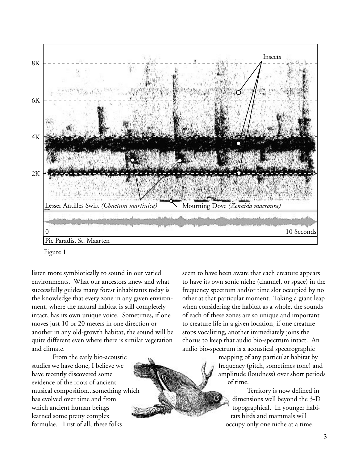

Figure 1

listen more symbiotically to sound in our varied environments. What our ancestors knew and what successfully guides many forest inhabitants today is the knowledge that every zone in any given environment, where the natural habitat is still completely intact, has its own unique voice. Sometimes, if one moves just 10 or 20 meters in one direction or another in any old-growth habitat, the sound will be quite different even where there is similar vegetation and climate.

From the early bio-acoustic studies we have done, I believe we have recently discovered some evidence of the roots of ancient musical composition...something which has evolved over time and from which ancient human beings learned some pretty complex formulae. First of all, these folks

seem to have been aware that each creature appears to have its own sonic niche (channel, or space) in the frequency spectrum and/or time slot occupied by no other at that particular moment. Taking a giant leap when considering the habitat as a whole, the sounds of each of these zones are so unique and important to creature life in a given location, if one creature stops vocalizing, another immediately joins the chorus to keep that audio bio-spectrum intact. An audio bio-spectrum is a acoustical spectrographic

> mapping of any particular habitat by frequency (pitch, sometimes tone) and amplitude (loudness) over short periods of time.

> > Territory is now defined in dimensions well beyond the 3-D topographical. In younger habitats birds and mammals will occupy only one niche at a time.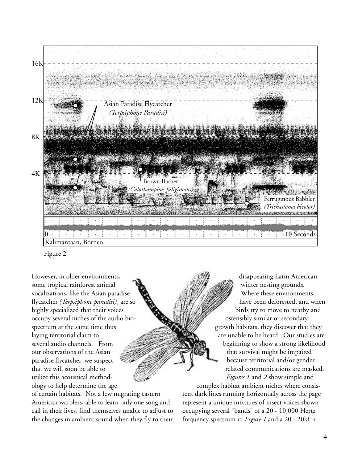

Figure 2

However, in older environments, some tropical rainforest animal vocalizations, like the Asian paradise flycatcher *(Terpsiphone paradisi)*, are so highly specialized that their voices occupy several niches of the audio biospectrum at the same time thus laying territorial claim to several audio channels. From our observations of the Asian paradise flycatcher, we suspect that we will soon be able to utilize this acoustical methodology to help determine the age

of certain habitats. Not a few migrating eastern American warblers, able to learn only one song and call in their lives, find themselves unable to adjust to the changes in ambient sound when they fly to their

disappearing Latin American winter nesting grounds. Where these environments have been deforested, and when birds try to move to nearby and ostensibly similar or secondary growth habitats, they discover that they are unable to be heard. Our studies are beginning to show a strong likelihood that survival might be impaired because territorial and/or gender related communications are masked.  *Figures 1* and *2* show simple and

complex habitat ambient niches where consistent dark lines running horizontally across the page represent a unique mixtures of insect voices shown occupying several "bands" of a 20 - 10,000 Hertz frequency spectrum in *Figure 1* and a 20 - 20kHz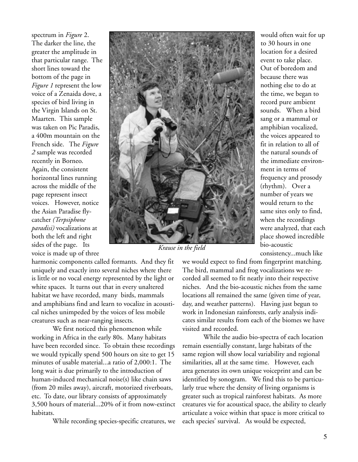spectrum in *Figure* 2. The darker the line, the greater the amplitude in that particular range. The short lines toward the bottom of the page in *Figure 1* represent the low voice of a Zenaida dove, a species of bird living in the Virgin Islands on St. Maarten. This sample was taken on Pic Paradis, a 400m mountain on the French side. The *Figure 2* sample was recorded recently in Borneo. Again, the consistent horizontal lines running across the middle of the page represent insect voices. However, notice the Asian Paradise flycatcher *(Terpsiphone paradisi)* vocalizations at both the left and right sides of the page. Its voice is made up of three



*Krause in the field*

harmonic components called formants. And they fit uniquely and exactly into several niches where there is little or no vocal energy represented by the light or white spaces. It turns out that in every unaltered habitat we have recorded, many birds, mammals and amphibians find and learn to vocalize in acoustical niches unimpeded by the voices of less mobile creatures such as near-ranging insects.

We first noticed this phenomenon while working in Africa in the early 80s. Many habitats have been recorded since. To obtain these recordings we would typically spend 500 hours on site to get 15 minutes of usable material...a ratio of 2,000:1. The long wait is due primarily to the introduction of human-induced mechanical noise(s) like chain saws (from 20 miles away), aircraft, motorized riverboats, etc. To date, our library consists of approximately 3,500 hours of material...20% of it from now-extinct habitats.

While recording species-specific creatures, we

would often wait for up to 30 hours in one location for a desired event to take place. Out of boredom and because there was nothing else to do at the time, we began to record pure ambient sounds. When a bird sang or a mammal or amphibian vocalized, the voices appeared to fit in relation to all of the natural sounds of the immediate environment in terms of frequency and prosody (rhythm). Over a number of years we would return to the same sites only to find, when the recordings were analyzed, that each place showed incredible bio-acoustic consistency...much like

we would expect to find from fingerprint matching.

The bird, mammal and frog vocalizations we recorded all seemed to fit neatly into their respective niches. And the bio-acoustic niches from the same locations all remained the same (given time of year, day, and weather patterns). Having just begun to work in Indonesian rainforests, early analysis indicates similar results from each of the biomes we have visited and recorded.

While the audio bio-spectra of each location remain essentially constant, large habitats of the same region will show local variability and regional similarities, all at the same time. However, each area generates its own unique voiceprint and can be identified by sonogram. We find this to be particularly true where the density of living organisms is greater such as tropical rainforest habitats. As more creatures vie for acoustical space, the ability to clearly articulate a voice within that space is more critical to each species' survival. As would be expected,